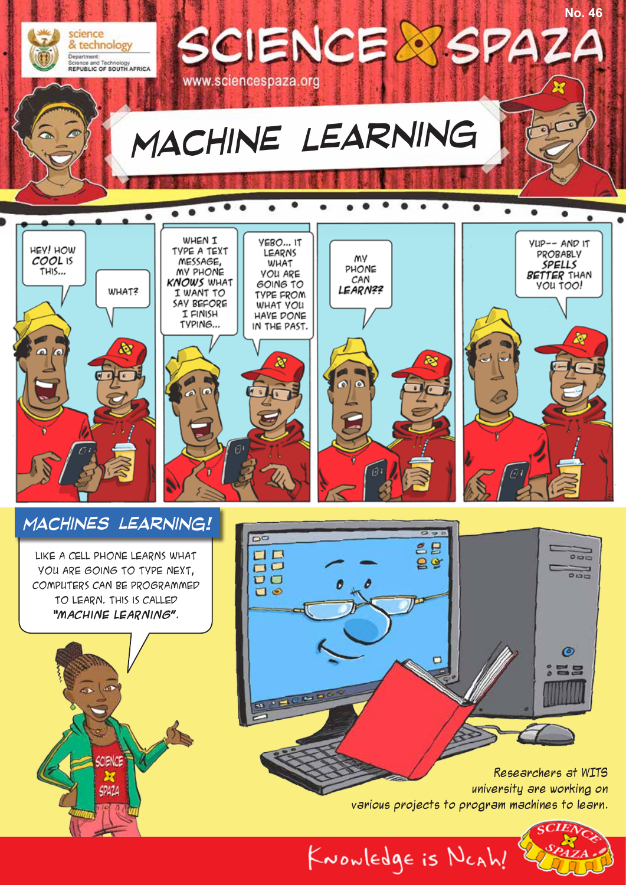

**CLOB** 



Researchers at WITS university are working on various projects to program machines to learn.

 $\Box$ 

KNOWLEDgE is NCAh!

 $\odot$ 

昌島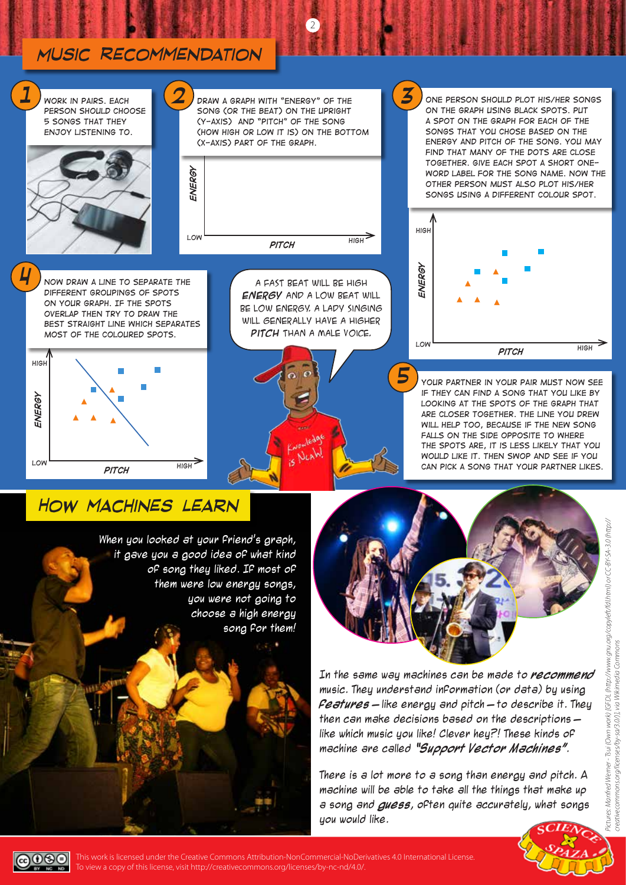## *Music Recommendation*



2

## *How machines learn*

When you looked at your friend's graph, it gave you a good idea of what kind of song they liked. If most of them were low energy songs, you were not going to choose a high energy song for them!



In the same way machines can be made to **recommend** music. They understand information (or data) by using **features** – like energy and pitch – to describe it. They then can make decisions based on the descriptions – like which music you like! Clever hey?! These kinds of machine are called **"Support Vector Machines"**.

There is a lot more to a song than energy and pitch. A machine will be able to take all the things that make up a song and **guess**, often quite accurately, what songs you would like.



This work is licensed under the Creative Commons Attribution-NonCommercial-NoDerivatives 4.0 International License. To view a copy of this license, visit http://creativecommons.org/licenses/by-nc-nd/4.0/.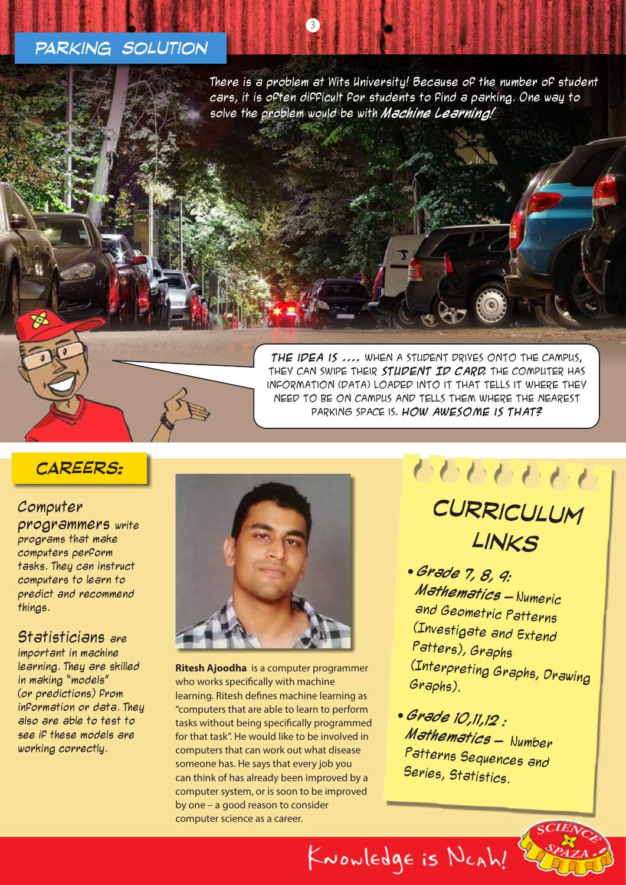### *Parking solution*

There is a problem at Wits University! Because of the number of student cars, it is often difficult for students to find a parking. One way to solve the problem would be with **Machine Learning!** 

 $\left(3\right)$ 



**The idea is ....** When a student drives onto the campus, they can swipe their **student ID card.** The computer has information (data) loaded into it that tells it where they need to be on campus and tells them where the nearest parking space is. **How awesome is that?**

## *careers:*

#### Computer

programmers write programs that make computers perform tasks. They can instruct computers to learn to predict and recommend things.

#### Statisticians are

important in machine learning. They are skilled in making "models" (or predictions) from information or data. They also are able to test to see if these models are working correctly.



**Ritesh Ajoodha** is a computer programmer who works specifically with machine learning. Ritesh defines machine learning as "computers that are able to learn to perform tasks without being specifically programmed for that task". He would like to be involved in computers that can work out what disease someone has. He says that every job you can think of has already been improved by a computer system, or is soon to be improved by one – a good reason to consider computer science as a career.

9999999 *curriculum links*

- **Grade 7, 8, 9: Mathematics** – Numeric and Geometric Patterns (Investigate and Extend Patters), Graphs (Interpreting Graphs, Drawing Graphs).
- **Grade 10,11,12 : Mathematics** – Number Patterns Sequences and Series, Statistics.

KNOWLEDgE is NCAh!